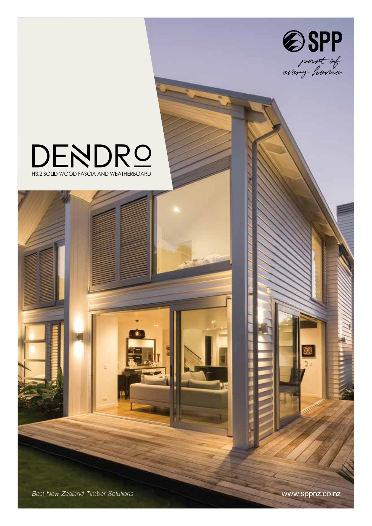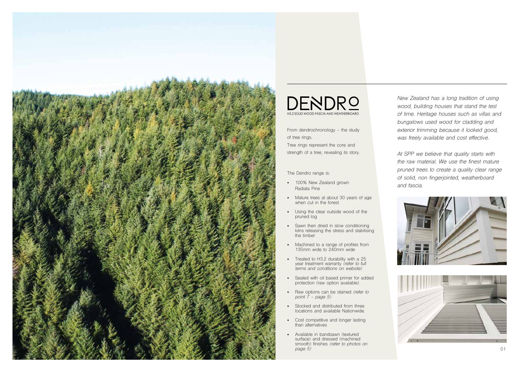*New Zealand has a long tradition of using wood, building houses that stand the test of time. Heritage houses such as villas and bungalows used wood for cladding and exterior trimming because it looked good, was freely available and cost effective.* 

From dendrochronology - the study of tree rings. Tree rings represent the core and strength of a tree, revealing its story.

*At SPP we believe that quality starts with the raw material. We use the finest mature pruned trees to create a quality clear range of solid, non fingerjointed, weatherboard and fascia.* 





The Dendro range is:



- 100% New Zealand grown Radiata Pine
- Mature trees at about 30 years of age when cut in the forest
- Using the clear outside wood of the pruned log
- Sawn then dried in slow conditioning kilns releasing the stress and stabilising the timber
- Machined to a range of profiles from 135mm wide to 240mm wide
- Treated to H3.2 durability with a 25 year treatment warranty *(refer to full terms and conditions on website)*
- Sealed with oil based primer for added protection (raw option available)
- Raw options can be stained *(refer to point 7 - page 5)*
- Stocked and distributed from three locations and available Nationwide.
- Cost competitive and longer lasting than alternatives
- Available in bandsawn (textured surface) and dressed (machined smooth) finishes *(refer to photos on page 5)* 01

## H3.2 SOLID WOOD FASCIA AND WEATHERBOARD DENDRO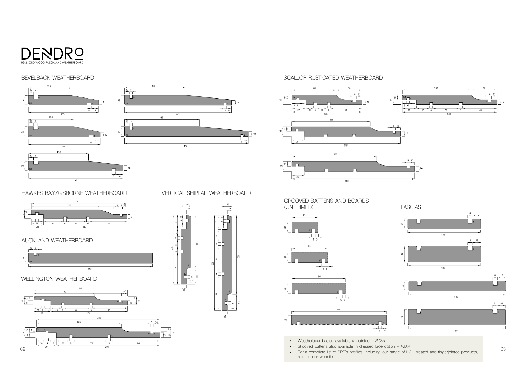## SCALLOP RUSTICATED WEATHERBOARD







GROOVED BATTENS AND BOARDS (UNPRIMED)



03

WELLINGTON WEATHERBOARD





HAWKES BAY/GISBORNE WEATHERBOARD

- Grooved battens also available in dressed face option *P.O.A*
- For a complete list of SPP's profiles, including our range of H3.1 treated and fingerjointed products, refer to our website

## AUCKLAND WEATHERBOARD



VERTICAL SHIPLAP WEATHERBOARD



### BEVELBACK WEATHERBOARD





• Weatherboards also available unpainted - *P.O.A*

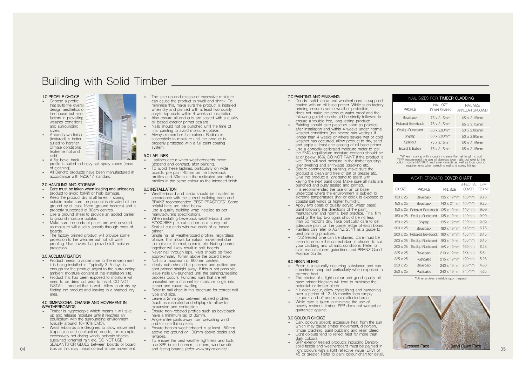#### **1.0 PROFILE CHOICE**

- Choose a profile that suits the overall design aesthetics of the house but also factors in prevailing weather conditions and surrounding styles.
- A bandsawn finish (textured) is better suited to harsher climate conditions (extreme hot and cold).
- 
- A flat bevel back profile is suited to heavy salt spray zones (ease of cleaning).
- All Dendro products have been manufactured in accordance with NZ3617 standard.

## **2.0 HANDLING AND STORAGE**

- **• Care must be taken when loading and unloading**  product to avoid forklift or hiab damage.
- Keep the product dry at all times. If storing outside make sure the product is elevated off the ground by at least 15cm (ground bearers) and is properly supported at 90cm centres.
- Use a ground sheet to provide an added barrier to ground moisture uptake.
- Make sure the ends of packs are well covered as moisture will quickly absorb through ends of boards.
- The factory primed product will provide some protection to the weather but not full water proofing. Use covers that provide full moisture protection.
- The take up and release of excessive moisture can cause the product to swell and shrink. To minimise this, make sure the product is installed when dry and painted with at least two quality acrylic top coats within 4 weeks of installation.
- Also ensure all end cuts are sealed with a quality oil based exterior primer sealant.
- Nails should not be punched until the time of final painting to avoid moisture uptake.
- Always remember that exterior Radiata is susceptible to moisture until the product is properly protected with a full paint coating system<sup>.</sup>

#### **3.0 ACCLIMATISATION**

- Product needs to acclimatise to the environment it is being installed in. Typically 3-5 days is enough for the product adjust to the surrounding ambient moisture content at the installation site.
- Product that has been exposed to moisture will need to be dried out prior to install. DO NOT INSTALL product that is wet. Allow to air dry by filleting the product and leaving in a shaded, dry area.

#### **4.0 DIMENSIONAL CHANGE AND MOVEMENT IN WEATHERBOARDS**

- Timber is hygroscopic which means it will take up and release moisture until it reaches an equilibrium with the surrounding environment (usually around 10-16% EMC).
- Weatherboards are designed to allow movement (expansion and contraction) due to, for example, excessively hot drying winds, seismic shocks, sustained torrential rain etc. DO NOT USE SEALANTS OR GLUES between boards or board laps as this may inhibit normal timber movement.
- Weatherboard and fascia should be installed in accordance with the current building code and BRANZ recommended 'BEST PRACTICES'. Some helpful hints are listed below:
- Use a quality building wrap installed as per manufacturers specifications.
- When installing bevelback weatherboard use EZYSCRIBE pre-cut scriber as a storey rod.
- Seal all cut ends with two coats of oil based primer
- Single nail all weatherboard profiles, regardless of size. This allows for natural movement due to moisture, thermal, seismic etc. Nailing boards together will likely result in split boards.
- Never nail through laps. Nails should be fixed approximately 10mm above the board below.
- Nail at a maximum of 600mm centres.
- Ideally nails should be punched and puttied and spot primed straight away. If this is not possible, leave nails un-punched until the painting/sealing process occurs. Punched nails that are left unsealed are a channel for moisture to get into timber and cause swelling.
- Refer to nail chart in this brochure for correct nail type and size.
- Leave a 2mm gap between rebated profiles (such as rusticated and shiplap) to allow for expansion and contraction.
- Ensure non-rebated profiles such as bevelback have a minimum lap of 32mm.
- Angle mitre joints away from prevailing wind and/or use flat soakers.
- Ensure bottom weatherboard is at least 150mm above the ground or 100mm above decks and terraces.
- To ensure the best weather tightness and look, use SPP boxed corners, scribers, window sills and facing boards *(refer www.sppnz.co.nz)*

#### **5.0 LAPLINES**

- Laplines occur when weatherboards move (expand and contract) after painting.
- To avoid these laplines, particularly on wide boards, pre paint 40mm on the bevelback profiles and 30mm on the rusticated and other profiles in the same colour as the intended finish.

#### **6.0 INSTALLATION**

- Dendro solid fascia and weatherboard is supplied coated with an oil base primer. While such factory priming ensures some weather protection, it does not make the product water proof and the following guidelines should be strictly followed to ensure a trouble free, long lasting product:
- Painting should take place as soon as practical after installation and within 4 weeks under normal weather conditions (not severe rain wetting). If longer than 4 weeks or where severe wet or cold weather has occurred, allow product to dry, sand and apply at least one coating of oil base primer.
- Use a correctly calibrated moisture meter to test the EMC (equilibrium moisture content) should be at or below 16%. DO NOT PAINT if the product is wet. This will seal moisture in the timber causing later swelling and shrinkage (cracking etc).
- Before commencing painting, make sure the product is clean and free of dirt or grease etc. Give the product a light sand to assist with keying the next paint coat. Make sure all nails are punched and putty sealed and primed.
- It is recommended the use of an oil base undercoat where the environment is subject to extreme temperatures (hot or cold), is exposed to coastal salt winds or higher humidity.
- Apply two coats of quality acrylic (water base) paint following the directions of the paint manufacturer and normal best practice. Final film build of the top two coats should be no less than 50 microns dry. Take particular care to get adequate paint on the corner edge of each board.
- Painters can refer to AS/NZ 2311 as a guide to best painting practices.
- H3.2 treated pine can be stained. Care must be taken to ensure the correct stain is chosen to suit your cladding and climatic conditions. Refer to stain manufacturers guidelines and BRANZ Good Practice Guide.

- Dark colours absorb excessive heat from the sun which may cause timber movement, distortion, timber cracking, paint bubbling and resin bleed. Light colours tend to reflect heat far more than
- dark colours. • SPP exterior treated products including Dendro solid fascia and weatherboard must be painted in light colours with a light reflective value (LRV) of 45 or greater. Refer to paint colour chart for detail.

# Building with Solid Timber

#### **7.0 PAINTING AND FINISHING**

#### **8.0 RESIN BLEED**

- Resin is a naturally occurring substance and can sometimes seep out particularly when exposed to extreme heat.
- The choice of a light colour and good quality oil base primer blockers will tend to minimise the potential for timber bleed.
- if it does occur, allow crystallising and hardening over a period of 12-18 months then simply scrape/sand off and repaint affected area.
- While care is taken to minimise the use of heavily resinous timber, SPP does not warrant or guarantee against.

#### **9.0 COLOUR CHOICE**

| NAIL SIZES FOR TIMBER CLADDING |                           |                              |  |  |  |
|--------------------------------|---------------------------|------------------------------|--|--|--|
| <b>PROFILE</b>                 | NAII SIZF<br>PI AIN SHANK | NAII SIZE<br>ANNU AR GROOVED |  |  |  |
| <b>Bevelback</b>               | 75 x 3 15mm               | 65 x 3 15mm                  |  |  |  |
| <b>Rebated Bevelback</b>       | 75 x 3 15mm               | $65 \times 3.15$ mm          |  |  |  |
| <b>Scallop Rusticated</b>      | $60 \times 280$ mm        | $50 \times 2.80$ mm          |  |  |  |
| Shiplap                        | $60 \times 280$ mm        | $50 \times 2.80$ mm          |  |  |  |
| Splaycut                       | $75 \times 3.15$ mm       | 65 x 3.15mm                  |  |  |  |
| Board & Batten                 | 75 x 3 15mm               | 65 x 3 15mm                  |  |  |  |

\*When installing with a cavity increase the nail length to suit \*SPP recommend the use of stainless steel nails but refer to the building code NZS3604 and amendments as well as local council requirements when selecting nail and screw fittings





\*Other profiles available upon request

| WEATHERBOARD <b>COVER CHART</b> |                           |                    |                          |                           |  |  |
|---------------------------------|---------------------------|--------------------|--------------------------|---------------------------|--|--|
| FX SIZF                         | <b>PROFILE</b>            | FIN. SIZF          | <b>FFFFCTIVF</b><br>MVFR | L/M<br>PFR M <sup>2</sup> |  |  |
|                                 |                           |                    |                          |                           |  |  |
| $150 \times 25$                 | <b>Bevelback</b>          | $135 \times 19$ mm | 103mm                    | 970                       |  |  |
| $150 \times 25$                 | <b>Bevelback</b>          | $140 \times 21$ mm | 108mm                    | 9.25                      |  |  |
| $150 \times 25$                 | <b>Rebated Bevelback</b>  | $135 \times 19$ mm | 110mm                    | 909                       |  |  |
| $150 \times 25$                 | <b>Scallop Rusticated</b> | $135 \times 19$ mm | 110mm                    | 909                       |  |  |
| $150 \times 25$                 | Shiplap                   | $135 \times 19$ mm | 110mm                    | 9.09                      |  |  |
| $200 \times 25$                 | <b>Bevelback</b>          | $180 \times 19$ mm | 148mm                    | 6.75                      |  |  |
| $200 \times 25$                 | Rebated Bevelback         | $180 \times 19$ mm | 155mm                    | 6 45                      |  |  |
| $200 \times 25$                 | <b>Scallop Rusticated</b> | $180 \times 19$ mm | 155mm                    | 6 45                      |  |  |
| $200 \times 25$                 | <b>Scallop Rusticated</b> | $185 \times 19$ mm | 160mm                    | 6.25                      |  |  |
| $225 \times 25$                 | <b>Bevelback</b>          | $210 \times 19$ mm | 178mm                    | 5.61                      |  |  |
| $225 \times 25$                 | Rusticated                | $215 \times 19$ mm | 190mm                    | 5.26                      |  |  |
| $250 \times 25$                 | <b>Bevelback</b>          | 240 x 19mm         | 208mm                    | 480                       |  |  |
| $250 \times 25$                 | Rusticated                | 240 x 19mm         | 215mm                    | 4.65                      |  |  |